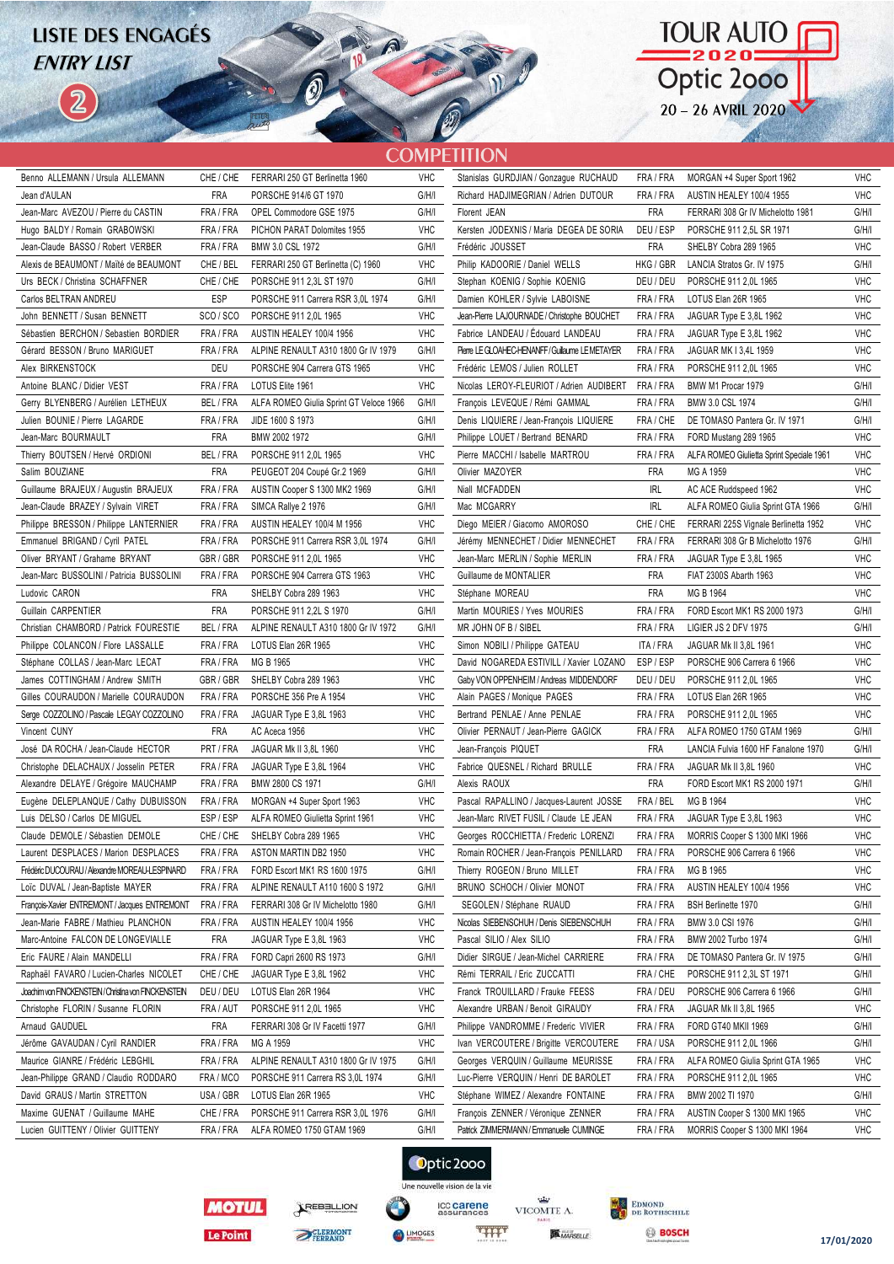# **LISTE DES ENGAGÉS ENTRY LIST**

 $\overline{2}$ 

# **TOUR AUTO [** 2020 Optic 2000

### **COMPETITION**

 $\Omega$ 

| Benno ALLEMANN / Ursula ALLEMANN                                 | CHE / CHE              | FERRARI 250 GT Berlinetta 1960                             | <b>VHC</b>          | Stanislas GURDJIAN / Gonzague RUCHAUD          | FRA / FRA              | MORGAN +4 Super Sport 1962                                  | VHC                 |
|------------------------------------------------------------------|------------------------|------------------------------------------------------------|---------------------|------------------------------------------------|------------------------|-------------------------------------------------------------|---------------------|
| Jean d'AULAN                                                     | <b>FRA</b>             | PORSCHE 914/6 GT 1970                                      | G/H/I               | Richard HADJIMEGRIAN / Adrien DUTOUR           | FRA / FRA              | AUSTIN HEALEY 100/4 1955                                    | <b>VHC</b>          |
| Jean-Marc AVEZOU / Pierre du CASTIN                              | FRA / FRA              | OPEL Commodore GSE 1975                                    | G/H/I               | Florent JEAN                                   | <b>FRA</b>             | FERRARI 308 Gr IV Michelotto 1981                           | G/H/I               |
| Hugo BALDY / Romain GRABOWSKI                                    | FRA / FRA              | PICHON PARAT Dolomites 1955                                | <b>VHC</b>          | Kersten JODEXNIS / Maria DEGEA DE SORIA        | DEU/ESP                | PORSCHE 911 2,5L SR 1971                                    | G/H/I               |
| Jean-Claude BASSO / Robert VERBER                                | FRA / FRA              | BMW 3.0 CSL 1972                                           | G/H/I               | Frédéric JOUSSET                               | <b>FRA</b>             | SHELBY Cobra 289 1965                                       | VHC                 |
| Alexis de BEAUMONT / Maïté de BEAUMONT                           | CHE / BEL              | FERRARI 250 GT Berlinetta (C) 1960                         | <b>VHC</b>          | Philip KADOORIE / Daniel WELLS                 | HKG / GBR              | LANCIA Stratos Gr. IV 1975                                  | G/H/I               |
| Urs BECK / Christina SCHAFFNER                                   | CHE / CHE              | PORSCHE 911 2,3L ST 1970                                   | G/H/I               | Stephan KOENIG / Sophie KOENIG                 | DEU / DEU              | PORSCHE 911 2,0L 1965                                       | <b>VHC</b>          |
| Carlos BELTRAN ANDREU                                            | ESP                    | PORSCHE 911 Carrera RSR 3,0L 1974                          | G/H/I               | Damien KOHLER / Sylvie LABOISNE                | FRA / FRA              | LOTUS Elan 26R 1965                                         | <b>VHC</b>          |
| John BENNETT / Susan BENNETT                                     | SCO / SCO              | PORSCHE 911 2,0L 1965                                      | <b>VHC</b>          | Jean-Pierre LAJOURNADE / Christophe BOUCHET    | FRA / FRA              | JAGUAR Type E 3,8L 1962                                     | VHC                 |
| Sébastien BERCHON / Sebastien BORDIER                            | FRA / FRA              | AUSTIN HEALEY 100/4 1956                                   | <b>VHC</b>          | Fabrice LANDEAU / Édouard LANDEAU              | FRA / FRA              | JAGUAR Type E 3,8L 1962                                     | <b>VHC</b>          |
| Gérard BESSON / Bruno MARIGUET                                   | FRA / FRA              | ALPINE RENAULT A310 1800 Gr IV 1979                        | G/H/I               | Pierre LE GLOAHEC-HENANFF/Guillaume LE METAYER | FRA / FRA              | JAGUAR MK I 3,4L 1959                                       | <b>VHC</b>          |
| Alex BIRKENSTOCK                                                 | DEU                    | PORSCHE 904 Carrera GTS 1965                               | <b>VHC</b>          | Frédéric LEMOS / Julien ROLLET                 | FRA / FRA              | PORSCHE 911 2,0L 1965                                       | <b>VHC</b>          |
| Antoine BLANC / Didier VEST                                      | FRA / FRA              | LOTUS Elite 1961                                           | <b>VHC</b>          | Nicolas LEROY-FLEURIOT / Adrien AUDIBERT       | FRA / FRA              | BMW M1 Procar 1979                                          | G/H/I               |
| Gerry BLYENBERG / Aurélien LETHEUX                               | BEL / FRA              | ALFA ROMEO Giulia Sprint GT Veloce 1966                    | G/H/I               | François LEVEQUE / Rémi GAMMAL                 | FRA / FRA              | BMW 3.0 CSL 1974                                            | G/H/I               |
| Julien BOUNIE / Pierre LAGARDE                                   | FRA / FRA              | JIDE 1600 S 1973                                           | G/H/I               | Denis LIQUIERE / Jean-François LIQUIERE        | FRA / CHE              | DE TOMASO Pantera Gr. IV 1971                               | G/H/I               |
| Jean-Marc BOURMAULT                                              | <b>FRA</b>             | BMW 2002 1972                                              | G/H/I               | Philippe LOUET / Bertrand BENARD               | FRA / FRA              | FORD Mustang 289 1965                                       | VHC                 |
| Thierry BOUTSEN / Hervé ORDIONI                                  | BEL/FRA                | PORSCHE 911 2,0L 1965                                      | <b>VHC</b>          | Pierre MACCHI / Isabelle MARTROU               | FRA / FRA              | ALFA ROMEO Giulietta Sprint Speciale 1961                   | <b>VHC</b>          |
| Salim BOUZIANE                                                   | <b>FRA</b>             | PEUGEOT 204 Coupé Gr.2 1969                                | G/H/I               | Olivier MAZOYER                                | FRA                    | MG A 1959                                                   | VHC                 |
| Guillaume BRAJEUX / Augustin BRAJEUX                             | FRA / FRA              | AUSTIN Cooper S 1300 MK2 1969                              | G/H/I               | Niall MCFADDEN                                 | <b>IRL</b>             | AC ACE Ruddspeed 1962                                       | VHC                 |
| Jean-Claude BRAZEY / Sylvain VIRET                               | FRA / FRA              | SIMCA Rallye 2 1976                                        | G/H/I               | Mac MCGARRY                                    | <b>IRL</b>             | ALFA ROMEO Giulia Sprint GTA 1966                           | G/H/I               |
|                                                                  | FRA / FRA              |                                                            | <b>VHC</b>          | Diego MEIER / Giacomo AMOROSO                  |                        |                                                             |                     |
| Philippe BRESSON / Philippe LANTERNIER                           |                        | AUSTIN HEALEY 100/4 M 1956                                 |                     | Jérémy MENNECHET / Didier MENNECHET            | CHE / CHE              | FERRARI 225S Vignale Berlinetta 1952                        | VHC                 |
| Emmanuel BRIGAND / Cyril PATEL<br>Oliver BRYANT / Grahame BRYANT | FRA / FRA<br>GBR / GBR | PORSCHE 911 Carrera RSR 3,0L 1974<br>PORSCHE 911 2,0L 1965 | G/H/I<br><b>VHC</b> | Jean-Marc MERLIN / Sophie MERLIN               | FRA / FRA<br>FRA / FRA | FERRARI 308 Gr B Michelotto 1976<br>JAGUAR Type E 3,8L 1965 | G/H/I<br><b>VHC</b> |
|                                                                  |                        |                                                            |                     |                                                |                        |                                                             |                     |
| Jean-Marc BUSSOLINI / Patricia BUSSOLINI                         | FRA / FRA              | PORSCHE 904 Carrera GTS 1963                               | <b>VHC</b>          | Guillaume de MONTALIER                         | <b>FRA</b>             | FIAT 2300S Abarth 1963                                      | VHC                 |
| Ludovic CARON                                                    | <b>FRA</b>             | SHELBY Cobra 289 1963                                      | <b>VHC</b>          | Stéphane MOREAU                                | <b>FRA</b>             | MG B 1964                                                   | VHC                 |
| Guillain CARPENTIER                                              | <b>FRA</b>             | PORSCHE 911 2,2L S 1970                                    | G/H/I               | Martin MOURIES / Yves MOURIES                  | FRA / FRA              | FORD Escort MK1 RS 2000 1973                                | G/H/I               |
| Christian CHAMBORD / Patrick FOURESTIE                           | BEL/FRA                | ALPINE RENAULT A310 1800 Gr IV 1972                        | G/H/I               | MR JOHN OF B / SIBEL                           | FRA / FRA              | LIGIER JS 2 DFV 1975                                        | G/H/I               |
| Philippe COLANCON / Flore LASSALLE                               | FRA / FRA              | LOTUS Elan 26R 1965                                        | <b>VHC</b>          | Simon NOBILI / Philippe GATEAU                 | ITA / FRA              | JAGUAR Mk II 3,8L 1961                                      | <b>VHC</b>          |
| Stéphane COLLAS / Jean-Marc LECAT                                | FRA / FRA              | MG B 1965                                                  | <b>VHC</b>          | David NOGAREDA ESTIVILL / Xavier LOZANO        | ESP/ESP                | PORSCHE 906 Carrera 6 1966                                  | <b>VHC</b>          |
| James COTTINGHAM / Andrew SMITH                                  | GBR / GBR              | SHELBY Cobra 289 1963                                      | <b>VHC</b>          | Gaby VON OPPENHEIM / Andreas MIDDENDORF        | DEU / DEU              | PORSCHE 911 2,0L 1965                                       | <b>VHC</b>          |
| Gilles COURAUDON / Marielle COURAUDON                            | FRA / FRA              | PORSCHE 356 Pre A 1954                                     | <b>VHC</b>          | Alain PAGES / Monique PAGES                    | FRA / FRA              | LOTUS Elan 26R 1965                                         | VHC                 |
| Serge COZZOLINO / Pascale LEGAY COZZOLINO                        | FRA / FRA              | JAGUAR Type E 3,8L 1963                                    | <b>VHC</b>          | Bertrand PENLAE / Anne PENLAE                  | FRA / FRA              | PORSCHE 911 2,0L 1965                                       | VHC                 |
| Vincent CUNY                                                     | <b>FRA</b>             | AC Aceca 1956                                              | <b>VHC</b>          | Olivier PERNAUT / Jean-Pierre GAGICK           | FRA / FRA              | ALFA ROMEO 1750 GTAM 1969                                   | G/H/I               |
| José DA ROCHA / Jean-Claude HECTOR                               | PRT/FRA                | JAGUAR Mk II 3,8L 1960                                     | <b>VHC</b>          | Jean-François PIQUET                           | FRA                    | LANCIA Fulvia 1600 HF Fanalone 1970                         | G/H/I               |
| Christophe DELACHAUX / Josselin PETER                            | FRA / FRA              | JAGUAR Type E 3,8L 1964                                    | <b>VHC</b>          | Fabrice QUESNEL / Richard BRULLE               | FRA / FRA              | JAGUAR Mk II 3,8L 1960                                      | VHC                 |
| Alexandre DELAYE / Grégoire MAUCHAMP                             | FRA / FRA              | BMW 2800 CS 1971                                           | G/H/I               | Alexis RAOUX                                   | <b>FRA</b>             | FORD Escort MK1 RS 2000 1971                                | G/H/I               |
| Eugène DELEPLANQUE / Cathy DUBUISSON                             | FRA/FRA                | MORGAN +4 Super Sport 1963                                 | <b>VHC</b>          | Pascal RAPALLINO / Jacques-Laurent JOSSE       | FRA / BEL              | MG B 1964                                                   | VHC                 |
| Luis DELSO / Carlos DE MIGUEL                                    | ESP/ESP                | ALFA ROMEO Giulietta Sprint 1961                           | <b>VHC</b>          | Jean-Marc RIVET FUSIL / Claude LE JEAN         | FRA / FRA              | JAGUAR Type E 3,8L 1963                                     | VHC                 |
| Claude DEMOLE / Sébastien DEMOLE                                 | CHE / CHE              | SHELBY Cobra 289 1965                                      | <b>VHC</b>          | Georges ROCCHIETTA / Frederic LORENZI          | FRA / FRA              | MORRIS Cooper S 1300 MKI 1966                               | <b>VHC</b>          |
| Laurent DESPLACES / Marion DESPLACES                             | FRA / FRA              | ASTON MARTIN DB2 1950                                      | VHC                 | Romain ROCHER / Jean-François PENILLARD        | FRA / FRA              | PORSCHE 906 Carrera 6 1966                                  | VHC                 |
| Frédéric DUCOURAU / Alexandre MOREAU-LESPINARD                   | FRA / FRA              | FORD Escort MK1 RS 1600 1975                               | G/H/I               | Thierry ROGEON / Bruno MILLET                  | FRA / FRA              | MG B 1965                                                   | VHC                 |
| Loïc DUVAL / Jean-Baptiste MAYER                                 | FRA / FRA              | ALPINE RENAULT A110 1600 S 1972                            | G/H/I               | BRUNO SCHOCH / Olivier MONOT                   | FRA / FRA              | AUSTIN HEALEY 100/4 1956                                    | VHC                 |
| François-Xavier ENTREMONT / Jacques ENTREMONT                    | FRA / FRA              | FERRARI 308 Gr IV Michelotto 1980                          | G/H/I               | SEGOLEN / Stéphane RUAUD                       | FRA / FRA              | BSH Berlinette 1970                                         | G/H/I               |
| Jean-Marie FABRE / Mathieu PLANCHON                              | FRA / FRA              | AUSTIN HEALEY 100/4 1956                                   | VHC                 | Nicolas SIEBENSCHUH / Denis SIEBENSCHUH        | FRA / FRA              | BMW 3.0 CSI 1976                                            | G/H/I               |
| Marc-Antoine FALCON DE LONGEVIALLE                               | FRA                    | JAGUAR Type E 3,8L 1963                                    | VHC                 | Pascal SILIO / Alex SILIO                      | FRA / FRA              | BMW 2002 Turbo 1974                                         | G/H/I               |
| Eric FAURE / Alain MANDELLI                                      | FRA / FRA              | FORD Capri 2600 RS 1973                                    | G/H/I               | Didier SIRGUE / Jean-Michel CARRIERE           | FRA / FRA              | DE TOMASO Pantera Gr. IV 1975                               | G/H/I               |
| Raphaël FAVARO / Lucien-Charles NICOLET                          | CHE / CHE              | JAGUAR Type E 3,8L 1962                                    | <b>VHC</b>          | Rémi TERRAIL / Eric ZUCCATTI                   | FRA / CHE              | PORSCHE 911 2,3L ST 1971                                    | G/H/I               |
| Joachim von FINCKENSTEIN/Christina von FINCKENSTEIN              | DEU / DEU              | LOTUS Elan 26R 1964                                        | <b>VHC</b>          | Franck TROUILLARD / Frauke FEESS               | FRA / DEU              | PORSCHE 906 Carrera 6 1966                                  | G/H/I               |
| Christophe FLORIN / Susanne FLORIN                               | FRA / AUT              | PORSCHE 911 2,0L 1965                                      | VHC                 | Alexandre URBAN / Benoit GIRAUDY               | FRA / FRA              | JAGUAR Mk II 3,8L 1965                                      | VHC                 |
| Arnaud GAUDUEL                                                   | FRA                    | FERRARI 308 Gr IV Facetti 1977                             | G/H/I               | Philippe VANDROMME / Frederic VIVIER           | FRA / FRA              | FORD GT40 MKII 1969                                         | G/H/I               |
| Jérôme GAVAUDAN / Cyril RANDIER                                  | FRA / FRA              | MG A 1959                                                  | VHC                 | Ivan VERCOUTERE / Brigitte VERCOUTERE          | FRA / USA              | PORSCHE 911 2,0L 1966                                       | G/H/I               |
| Maurice GIANRE / Frédéric LEBGHIL                                | FRA / FRA              | ALPINE RENAULT A310 1800 Gr IV 1975                        | G/H/I               | Georges VERQUIN / Guillaume MEURISSE           | FRA / FRA              | ALFA ROMEO Giulia Sprint GTA 1965                           | VHC                 |
| Jean-Philippe GRAND / Claudio RODDARO                            | FRA / MCO              | PORSCHE 911 Carrera RS 3,0L 1974                           | G/H/I               | Luc-Pierre VERQUIN / Henri DE BAROLET          | FRA / FRA              | PORSCHE 911 2,0L 1965                                       | VHC                 |
| David GRAUS / Martin STRETTON                                    | USA / GBR              | LOTUS Elan 26R 1965                                        | VHC                 | Stéphane WIMEZ / Alexandre FONTAINE            | FRA / FRA              | BMW 2002 TI 1970                                            | G/H/I               |
| Maxime GUENAT / Guillaume MAHE                                   | CHE / FRA              | PORSCHE 911 Carrera RSR 3,0L 1976                          | G/H/I               | François ZENNER / Véronique ZENNER             | FRA / FRA              | AUSTIN Cooper S 1300 MKI 1965                               | VHC                 |
| Lucien GUITTENY / Olivier GUITTENY                               | FRA / FRA              | ALFA ROMEO 1750 GTAM 1969                                  | G/H/I               | Patrick ZIMMERMANN / Emmanuelle CUMINGE        | FRA / FRA              | MORRIS Cooper S 1300 MKI 1964                               | VHC                 |
|                                                                  |                        |                                                            |                     |                                                |                        |                                                             |                     |



AREBELLION



 $VICOMTE A$ **ICC carene**<br>assurances

**EDMOND**<br>**EDEROTHSCHILD**